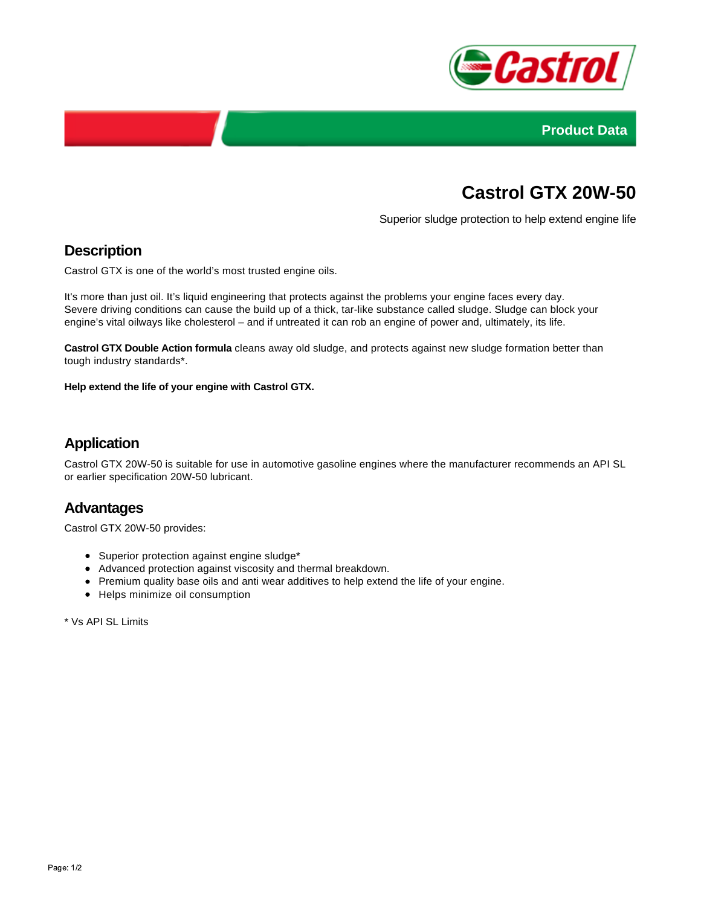



# **Castrol GTX 20W-50**

Superior sludge protection to help extend engine life

### **Description**

Castrol GTX is one of the world's most trusted engine oils.

It's more than just oil. It's liquid engineering that protects against the problems your engine faces every day. Severe driving conditions can cause the build up of a thick, tar-like substance called sludge. Sludge can block your engine's vital oilways like cholesterol – and if untreated it can rob an engine of power and, ultimately, its life.

**Castrol GTX Double Action formula** cleans away old sludge, and protects against new sludge formation better than tough industry standards\*.

**Help extend the life of your engine with Castrol GTX.**

# **Application**

Castrol GTX 20W-50 is suitable for use in automotive gasoline engines where the manufacturer recommends an API SL or earlier specification 20W-50 lubricant.

#### **Advantages**

Castrol GTX 20W-50 provides:

- Superior protection against engine sludge\*
- Advanced protection against viscosity and thermal breakdown.
- Premium quality base oils and anti wear additives to help extend the life of your engine.
- Helps minimize oil consumption

\* Vs API SL Limits